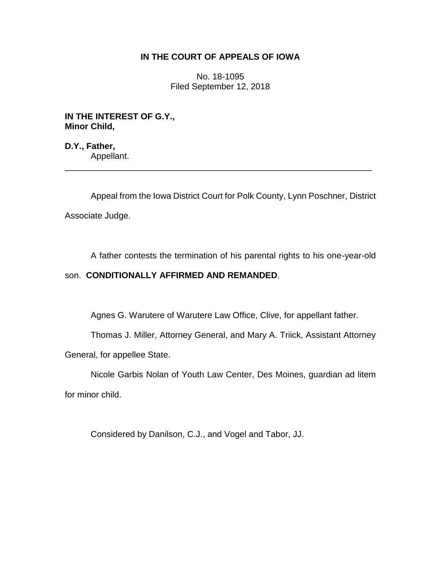## **IN THE COURT OF APPEALS OF IOWA**

No. 18-1095 Filed September 12, 2018

**IN THE INTEREST OF G.Y., Minor Child,**

**D.Y., Father,** Appellant. \_\_\_\_\_\_\_\_\_\_\_\_\_\_\_\_\_\_\_\_\_\_\_\_\_\_\_\_\_\_\_\_\_\_\_\_\_\_\_\_\_\_\_\_\_\_\_\_\_\_\_\_\_\_\_\_\_\_\_\_\_\_\_\_

Appeal from the Iowa District Court for Polk County, Lynn Poschner, District Associate Judge.

A father contests the termination of his parental rights to his one-year-old

## son. **CONDITIONALLY AFFIRMED AND REMANDED**.

Agnes G. Warutere of Warutere Law Office, Clive, for appellant father.

Thomas J. Miller, Attorney General, and Mary A. Triick, Assistant Attorney General, for appellee State.

Nicole Garbis Nolan of Youth Law Center, Des Moines, guardian ad litem for minor child.

Considered by Danilson, C.J., and Vogel and Tabor, JJ.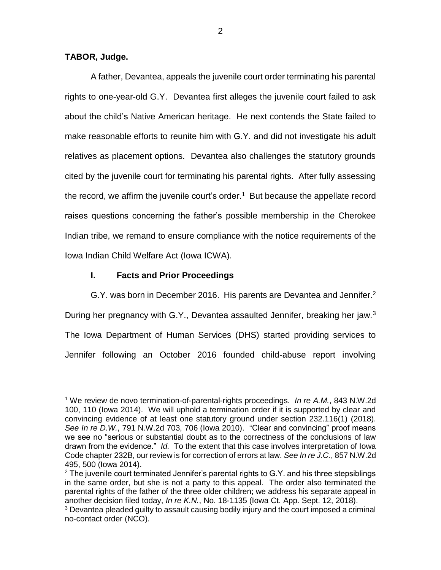## **TABOR, Judge.**

 $\overline{a}$ 

A father, Devantea, appeals the juvenile court order terminating his parental rights to one-year-old G.Y. Devantea first alleges the juvenile court failed to ask about the child's Native American heritage. He next contends the State failed to make reasonable efforts to reunite him with G.Y. and did not investigate his adult relatives as placement options. Devantea also challenges the statutory grounds cited by the juvenile court for terminating his parental rights. After fully assessing the record, we affirm the juvenile court's order.<sup>1</sup> But because the appellate record raises questions concerning the father's possible membership in the Cherokee Indian tribe, we remand to ensure compliance with the notice requirements of the Iowa Indian Child Welfare Act (Iowa ICWA).

## **I. Facts and Prior Proceedings**

G.Y. was born in December 2016. His parents are Devantea and Jennifer. 2 During her pregnancy with G.Y., Devantea assaulted Jennifer, breaking her jaw.<sup>3</sup> The Iowa Department of Human Services (DHS) started providing services to Jennifer following an October 2016 founded child-abuse report involving

<sup>1</sup> We review de novo termination-of-parental-rights proceedings. *In re A.M.*, 843 N.W.2d 100, 110 (Iowa 2014). We will uphold a termination order if it is supported by clear and convincing evidence of at least one statutory ground under section 232.116(1) (2018). *See In re D.W.*, 791 N.W.2d 703, 706 (Iowa 2010). "Clear and convincing" proof means we see no "serious or substantial doubt as to the correctness of the conclusions of law drawn from the evidence." *Id.* To the extent that this case involves interpretation of Iowa Code chapter 232B, our review is for correction of errors at law. *See In re J.C.*, 857 N.W.2d 495, 500 (Iowa 2014).

 $2$  The juvenile court terminated Jennifer's parental rights to G.Y. and his three stepsiblings in the same order, but she is not a party to this appeal. The order also terminated the parental rights of the father of the three older children; we address his separate appeal in another decision filed today, *In re K.N.*, No. 18-1135 (Iowa Ct. App. Sept. 12, 2018).

<sup>&</sup>lt;sup>3</sup> Devantea pleaded guilty to assault causing bodily injury and the court imposed a criminal no-contact order (NCO).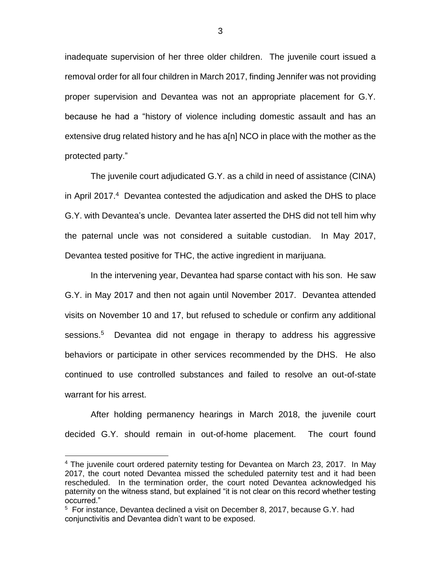inadequate supervision of her three older children. The juvenile court issued a removal order for all four children in March 2017, finding Jennifer was not providing proper supervision and Devantea was not an appropriate placement for G.Y. because he had a "history of violence including domestic assault and has an extensive drug related history and he has a[n] NCO in place with the mother as the protected party."

The juvenile court adjudicated G.Y. as a child in need of assistance (CINA) in April 2017.<sup>4</sup> Devantea contested the adjudication and asked the DHS to place G.Y. with Devantea's uncle. Devantea later asserted the DHS did not tell him why the paternal uncle was not considered a suitable custodian. In May 2017, Devantea tested positive for THC, the active ingredient in marijuana.

In the intervening year, Devantea had sparse contact with his son. He saw G.Y. in May 2017 and then not again until November 2017. Devantea attended visits on November 10 and 17, but refused to schedule or confirm any additional sessions.<sup>5</sup> Devantea did not engage in therapy to address his aggressive behaviors or participate in other services recommended by the DHS. He also continued to use controlled substances and failed to resolve an out-of-state warrant for his arrest.

After holding permanency hearings in March 2018, the juvenile court decided G.Y. should remain in out-of-home placement. The court found

 $\overline{a}$ 

<sup>&</sup>lt;sup>4</sup> The juvenile court ordered paternity testing for Devantea on March 23, 2017. In May 2017, the court noted Devantea missed the scheduled paternity test and it had been rescheduled. In the termination order, the court noted Devantea acknowledged his paternity on the witness stand, but explained "it is not clear on this record whether testing occurred."

<sup>&</sup>lt;sup>5</sup> For instance, Devantea declined a visit on December 8, 2017, because G.Y. had conjunctivitis and Devantea didn't want to be exposed.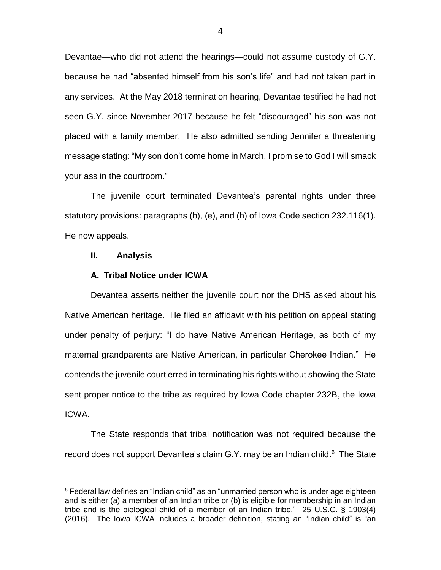Devantae—who did not attend the hearings—could not assume custody of G.Y. because he had "absented himself from his son's life" and had not taken part in any services. At the May 2018 termination hearing, Devantae testified he had not seen G.Y. since November 2017 because he felt "discouraged" his son was not placed with a family member. He also admitted sending Jennifer a threatening message stating: "My son don't come home in March, I promise to God I will smack your ass in the courtroom."

The juvenile court terminated Devantea's parental rights under three statutory provisions: paragraphs (b), (e), and (h) of Iowa Code section 232.116(1). He now appeals.

#### **II. Analysis**

 $\overline{a}$ 

#### **A. Tribal Notice under ICWA**

Devantea asserts neither the juvenile court nor the DHS asked about his Native American heritage. He filed an affidavit with his petition on appeal stating under penalty of perjury: "I do have Native American Heritage, as both of my maternal grandparents are Native American, in particular Cherokee Indian." He contends the juvenile court erred in terminating his rights without showing the State sent proper notice to the tribe as required by Iowa Code chapter 232B, the Iowa ICWA.

The State responds that tribal notification was not required because the record does not support Devantea's claim G.Y. may be an Indian child.<sup>6</sup> The State

 $6$  Federal law defines an "Indian child" as an "unmarried person who is under age eighteen and is either (a) a member of an Indian tribe or (b) is eligible for membership in an Indian tribe and is the biological child of a member of an Indian tribe." 25 U.S.C. § 1903(4) (2016). The Iowa ICWA includes a broader definition, stating an "Indian child" is "an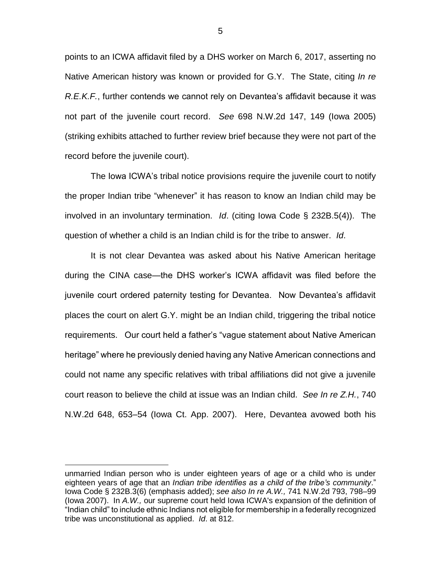points to an ICWA affidavit filed by a DHS worker on March 6, 2017, asserting no Native American history was known or provided for G.Y. The State, citing *In re R.E.K.F.*, further contends we cannot rely on Devantea's affidavit because it was not part of the juvenile court record. *See* 698 N.W.2d 147, 149 (Iowa 2005) (striking exhibits attached to further review brief because they were not part of the record before the juvenile court).

The Iowa ICWA's tribal notice provisions require the juvenile court to notify the proper Indian tribe "whenever" it has reason to know an Indian child may be involved in an involuntary termination. *Id*. (citing Iowa Code § 232B.5(4)). The question of whether a child is an Indian child is for the tribe to answer. *Id*.

It is not clear Devantea was asked about his Native American heritage during the CINA case—the DHS worker's ICWA affidavit was filed before the juvenile court ordered paternity testing for Devantea. Now Devantea's affidavit places the court on alert G.Y. might be an Indian child, triggering the tribal notice requirements. Our court held a father's "vague statement about Native American heritage" where he previously denied having any Native American connections and could not name any specific relatives with tribal affiliations did not give a juvenile court reason to believe the child at issue was an Indian child. *See In re Z.H.*, 740 N.W.2d 648, 653–54 (Iowa Ct. App. 2007). Here, Devantea avowed both his

 $\overline{a}$ 

unmarried Indian person who is under eighteen years of age or a child who is under eighteen years of age that an *Indian tribe identifies as a child of the tribe's community*." Iowa Code § 232B.3(6) (emphasis added); *see also In re A.W.,* 741 N.W.2d 793, 798–99 (Iowa 2007). In *A.W.,* our supreme court held Iowa ICWA's expansion of the definition of "Indian child" to include ethnic Indians not eligible for membership in a federally recognized tribe was unconstitutional as applied. *Id*. at 812.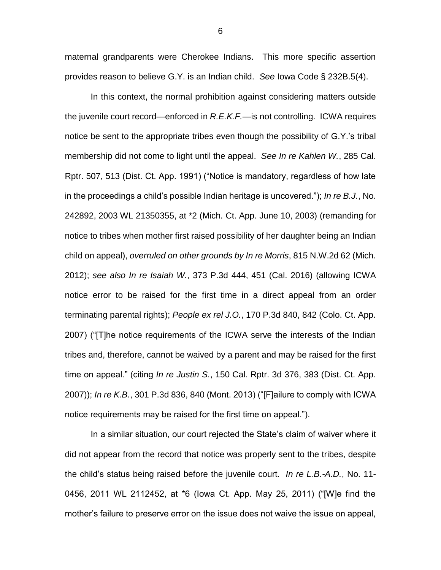maternal grandparents were Cherokee Indians. This more specific assertion provides reason to believe G.Y. is an Indian child. *See* Iowa Code § 232B.5(4).

In this context, the normal prohibition against considering matters outside the juvenile court record—enforced in *R.E.K.F.—*is not controlling. ICWA requires notice be sent to the appropriate tribes even though the possibility of G.Y.'s tribal membership did not come to light until the appeal. *See In re Kahlen W.*, 285 Cal. Rptr. 507, 513 (Dist. Ct. App. 1991) ("Notice is mandatory, regardless of how late in the proceedings a child's possible Indian heritage is uncovered."); *In re B.J.*, No. 242892, 2003 WL 21350355, at \*2 (Mich. Ct. App. June 10, 2003) (remanding for notice to tribes when mother first raised possibility of her daughter being an Indian child on appeal), *overruled on other grounds by In re Morris*, 815 N.W.2d 62 (Mich. 2012); *see also In re Isaiah W.*, 373 P.3d 444, 451 (Cal. 2016) (allowing ICWA notice error to be raised for the first time in a direct appeal from an order terminating parental rights); *People ex rel J.O.*, 170 P.3d 840, 842 (Colo. Ct. App. 2007) ("[T]he notice requirements of the ICWA serve the interests of the Indian tribes and, therefore, cannot be waived by a parent and may be raised for the first time on appeal." (citing *In re Justin S.*, 150 Cal. Rptr. 3d 376, 383 (Dist. Ct. App. 2007)); *In re K.B.*, 301 P.3d 836, 840 (Mont. 2013) ("[F]ailure to comply with ICWA notice requirements may be raised for the first time on appeal.").

In a similar situation, our court rejected the State's claim of waiver where it did not appear from the record that notice was properly sent to the tribes, despite the child's status being raised before the juvenile court. *In re L.B.-A.D.*, No. 11- 0456, 2011 WL 2112452, at \*6 (Iowa Ct. App. May 25, 2011) ("[W]e find the mother's failure to preserve error on the issue does not waive the issue on appeal,

6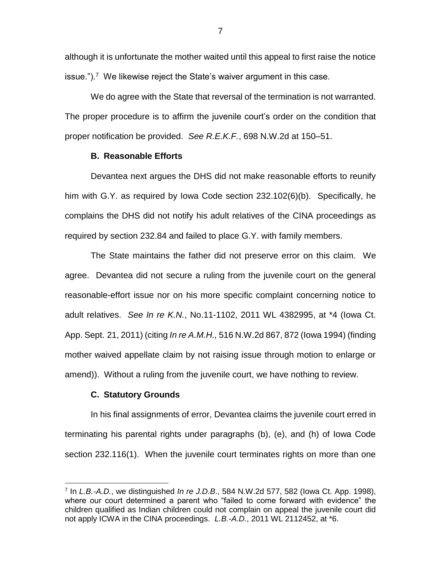although it is unfortunate the mother waited until this appeal to first raise the notice issue.").<sup>7</sup> We likewise reject the State's waiver argument in this case.

We do agree with the State that reversal of the termination is not warranted. The proper procedure is to affirm the juvenile court's order on the condition that proper notification be provided. *See R.E.K.F.*, 698 N.W.2d at 150–51.

### **B. Reasonable Efforts**

Devantea next argues the DHS did not make reasonable efforts to reunify him with G.Y. as required by Iowa Code section 232.102(6)(b). Specifically, he complains the DHS did not notify his adult relatives of the CINA proceedings as required by section 232.84 and failed to place G.Y. with family members.

The State maintains the father did not preserve error on this claim. We agree. Devantea did not secure a ruling from the juvenile court on the general reasonable-effort issue nor on his more specific complaint concerning notice to adult relatives. *See In re K.N.*, No.11-1102, 2011 WL 4382995, at \*4 (Iowa Ct. App. Sept. 21, 2011) (citing *In re A.M.H.,* 516 N.W.2d 867, 872 (Iowa 1994) (finding mother waived appellate claim by not raising issue through motion to enlarge or amend)). Without a ruling from the juvenile court, we have nothing to review.

#### **C. Statutory Grounds**

 $\overline{a}$ 

In his final assignments of error, Devantea claims the juvenile court erred in terminating his parental rights under paragraphs (b), (e), and (h) of Iowa Code section 232.116(1). When the juvenile court terminates rights on more than one

<sup>7</sup> In *L.B.-A.D.*, we distinguished *In re J.D.B*., 584 N.W.2d 577, 582 (Iowa Ct. App. 1998), where our court determined a parent who "failed to come forward with evidence" the children qualified as Indian children could not complain on appeal the juvenile court did not apply ICWA in the CINA proceedings. *L.B.-A.D.*, 2011 WL 2112452, at \*6.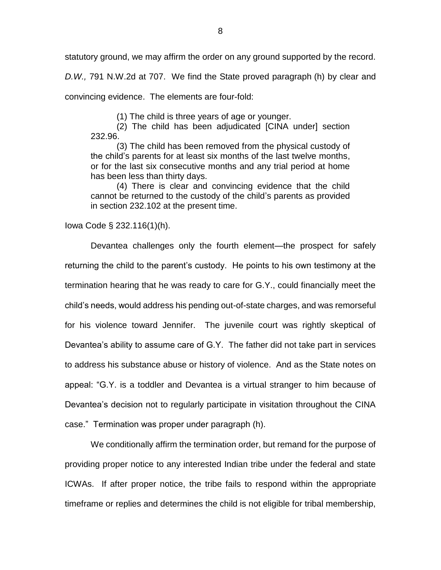statutory ground, we may affirm the order on any ground supported by the record.

*D.W.,* 791 N.W.2d at 707. We find the State proved paragraph (h) by clear and convincing evidence. The elements are four-fold:

(1) The child is three years of age or younger.

(2) The child has been adjudicated [CINA under] section 232.96.

(3) The child has been removed from the physical custody of the child's parents for at least six months of the last twelve months, or for the last six consecutive months and any trial period at home has been less than thirty days.

(4) There is clear and convincing evidence that the child cannot be returned to the custody of the child's parents as provided in section 232.102 at the present time.

Iowa Code § 232.116(1)(h).

Devantea challenges only the fourth element—the prospect for safely returning the child to the parent's custody. He points to his own testimony at the termination hearing that he was ready to care for G.Y., could financially meet the child's needs, would address his pending out-of-state charges, and was remorseful for his violence toward Jennifer. The juvenile court was rightly skeptical of Devantea's ability to assume care of G.Y. The father did not take part in services to address his substance abuse or history of violence. And as the State notes on appeal: "G.Y. is a toddler and Devantea is a virtual stranger to him because of Devantea's decision not to regularly participate in visitation throughout the CINA case." Termination was proper under paragraph (h).

We conditionally affirm the termination order, but remand for the purpose of providing proper notice to any interested Indian tribe under the federal and state ICWAs. If after proper notice, the tribe fails to respond within the appropriate timeframe or replies and determines the child is not eligible for tribal membership,